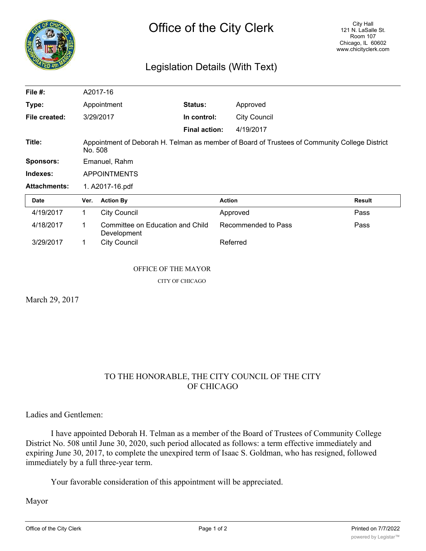

## Legislation Details (With Text)

| File #:             | A2017-16                                                                                                 |                                                 |                      |                     |               |
|---------------------|----------------------------------------------------------------------------------------------------------|-------------------------------------------------|----------------------|---------------------|---------------|
| Type:               | Appointment                                                                                              |                                                 | <b>Status:</b>       | Approved            |               |
| File created:       |                                                                                                          | 3/29/2017                                       | In control:          | <b>City Council</b> |               |
|                     |                                                                                                          |                                                 | <b>Final action:</b> | 4/19/2017           |               |
| Title:              | Appointment of Deborah H. Telman as member of Board of Trustees of Community College District<br>No. 508 |                                                 |                      |                     |               |
| Sponsors:           | Emanuel, Rahm                                                                                            |                                                 |                      |                     |               |
| Indexes:            | <b>APPOINTMENTS</b>                                                                                      |                                                 |                      |                     |               |
| <b>Attachments:</b> | 1. A2017-16.pdf                                                                                          |                                                 |                      |                     |               |
| Date                | Ver.                                                                                                     | <b>Action By</b>                                |                      | <b>Action</b>       | <b>Result</b> |
| 4/19/2017           | 1.                                                                                                       | <b>City Council</b>                             |                      | Approved            | Pass          |
| 4/18/2017           | 1                                                                                                        | Committee on Education and Child<br>Development |                      | Recommended to Pass | Pass          |
| 3/29/2017           | 1                                                                                                        | <b>City Council</b>                             |                      | Referred            |               |

## OFFICE OF THE MAYOR

CITY OF CHICAGO

March 29, 2017

## TO THE HONORABLE, THE CITY COUNCIL OF THE CITY OF CHICAGO

Ladies and Gentlemen:

I have appointed Deborah H. Telman as a member of the Board of Trustees of Community College District No. 508 until June 30, 2020, such period allocated as follows: a term effective immediately and expiring June 30, 2017, to complete the unexpired term of Isaac S. Goldman, who has resigned, followed immediately by a full three-year term.

Your favorable consideration of this appointment will be appreciated.

Mayor